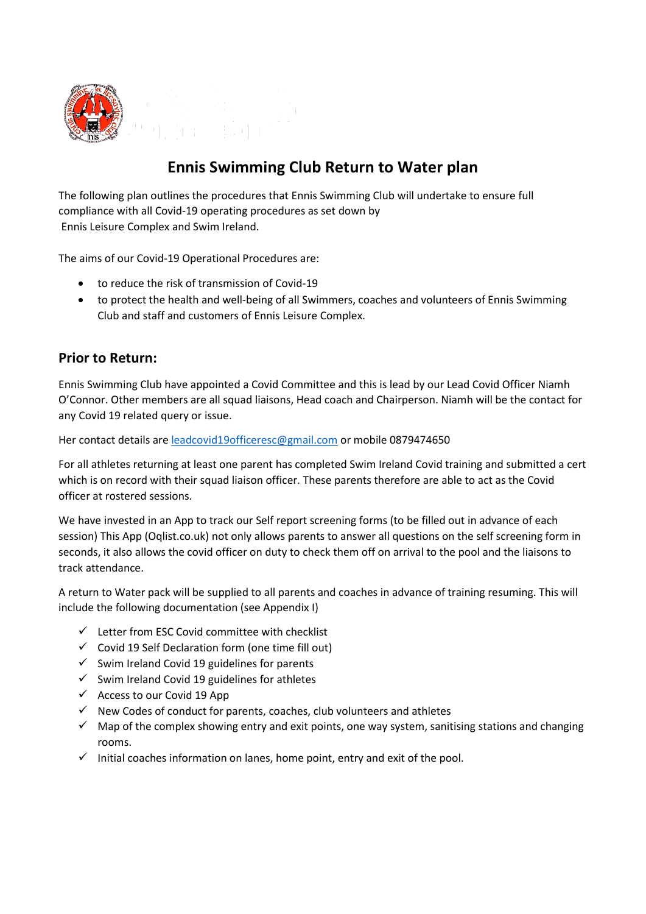

## **Ennis Swimming Club Return to Water plan**

The following plan outlines the procedures that Ennis Swimming Club will undertake to ensure full compliance with all Covid-19 operating procedures as set down by Ennis Leisure Complex and Swim Ireland.

The aims of our Covid-19 Operational Procedures are:

- to reduce the risk of transmission of Covid-19
- to protect the health and well-being of all Swimmers, coaches and volunteers of Ennis Swimming Club and staff and customers of Ennis Leisure Complex.

#### **Prior to Return:**

Ennis Swimming Club have appointed a Covid Committee and this is lead by our Lead Covid Officer Niamh O'Connor. Other members are all squad liaisons, Head coach and Chairperson. Niamh will be the contact for any Covid 19 related query or issue.

Her contact details are [leadcovid19officeresc@gmail.com](about:blank) or mobile 0879474650

For all athletes returning at least one parent has completed Swim Ireland Covid training and submitted a cert which is on record with their squad liaison officer. These parents therefore are able to act as the Covid officer at rostered sessions.

We have invested in an App to track our Self report screening forms (to be filled out in advance of each session) This App (Oqlist.co.uk) not only allows parents to answer all questions on the self screening form in seconds, it also allows the covid officer on duty to check them off on arrival to the pool and the liaisons to track attendance.

A return to Water pack will be supplied to all parents and coaches in advance of training resuming. This will include the following documentation (see Appendix I)

- $\checkmark$  Letter from ESC Covid committee with checklist
- $\checkmark$  Covid 19 Self Declaration form (one time fill out)
- $\checkmark$  Swim Ireland Covid 19 guidelines for parents
- $\checkmark$  Swim Ireland Covid 19 guidelines for athletes
- $\checkmark$  Access to our Covid 19 App
- $\checkmark$  New Codes of conduct for parents, coaches, club volunteers and athletes
- $\checkmark$  Map of the complex showing entry and exit points, one way system, sanitising stations and changing rooms.
- $\checkmark$  Initial coaches information on lanes, home point, entry and exit of the pool.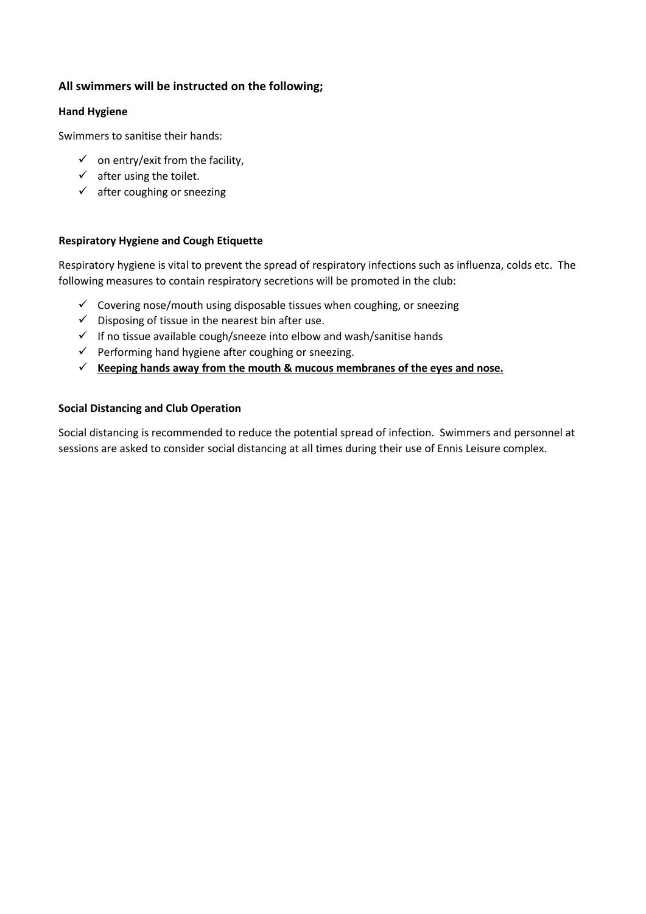#### **All swimmers will be instructed on the following;**

#### **Hand Hygiene**

Swimmers to sanitise their hands:

- $\checkmark$  on entry/exit from the facility,
- $\checkmark$  after using the toilet.
- $\checkmark$  after coughing or sneezing

#### **Respiratory Hygiene and Cough Etiquette**

Respiratory hygiene is vital to prevent the spread of respiratory infections such as influenza, colds etc. The following measures to contain respiratory secretions will be promoted in the club:

- $\checkmark$  Covering nose/mouth using disposable tissues when coughing, or sneezing
- $\checkmark$  Disposing of tissue in the nearest bin after use.
- $\checkmark$  If no tissue available cough/sneeze into elbow and wash/sanitise hands
- $\checkmark$  Performing hand hygiene after coughing or sneezing.
- $\checkmark$  Keeping hands away from the mouth & mucous membranes of the eyes and nose.

#### **Social Distancing and Club Operation**

Social distancing is recommended to reduce the potential spread of infection. Swimmers and personnel at sessions are asked to consider social distancing at all times during their use of Ennis Leisure complex.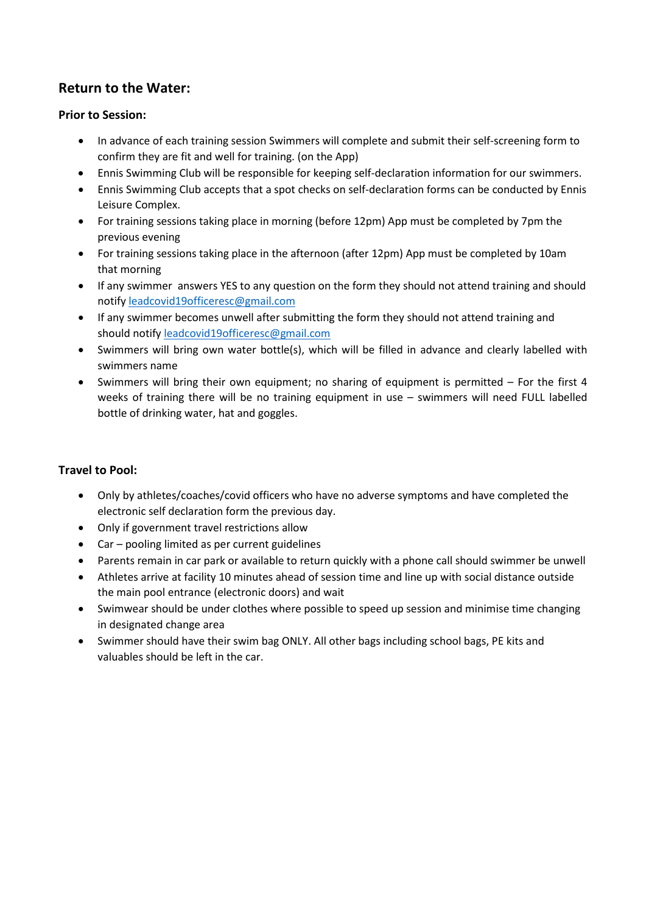### **Return to the Water:**

#### **Prior to Session:**

- In advance of each training session Swimmers will complete and submit their self-screening form to confirm they are fit and well for training. (on the App)
- Ennis Swimming Club will be responsible for keeping self-declaration information for our swimmers.
- Ennis Swimming Club accepts that a spot checks on self-declaration forms can be conducted by Ennis Leisure Complex.
- For training sessions taking place in morning (before 12pm) App must be completed by 7pm the previous evening
- For training sessions taking place in the afternoon (after 12pm) App must be completed by 10am that morning
- If any swimmer answers YES to any question on the form they should not attend training and should notify [leadcovid19officeresc@gmail.com](about:blank)
- If any swimmer becomes unwell after submitting the form they should not attend training and should notify [leadcovid19officeresc@gmail.com](about:blank)
- Swimmers will bring own water bottle(s), which will be filled in advance and clearly labelled with swimmers name
- Swimmers will bring their own equipment; no sharing of equipment is permitted For the first 4 weeks of training there will be no training equipment in use – swimmers will need FULL labelled bottle of drinking water, hat and goggles.

#### **Travel to Pool:**

- Only by athletes/coaches/covid officers who have no adverse symptoms and have completed the electronic self declaration form the previous day.
- Only if government travel restrictions allow
- Car pooling limited as per current guidelines
- Parents remain in car park or available to return quickly with a phone call should swimmer be unwell
- Athletes arrive at facility 10 minutes ahead of session time and line up with social distance outside the main pool entrance (electronic doors) and wait
- Swimwear should be under clothes where possible to speed up session and minimise time changing in designated change area
- Swimmer should have their swim bag ONLY. All other bags including school bags, PE kits and valuables should be left in the car.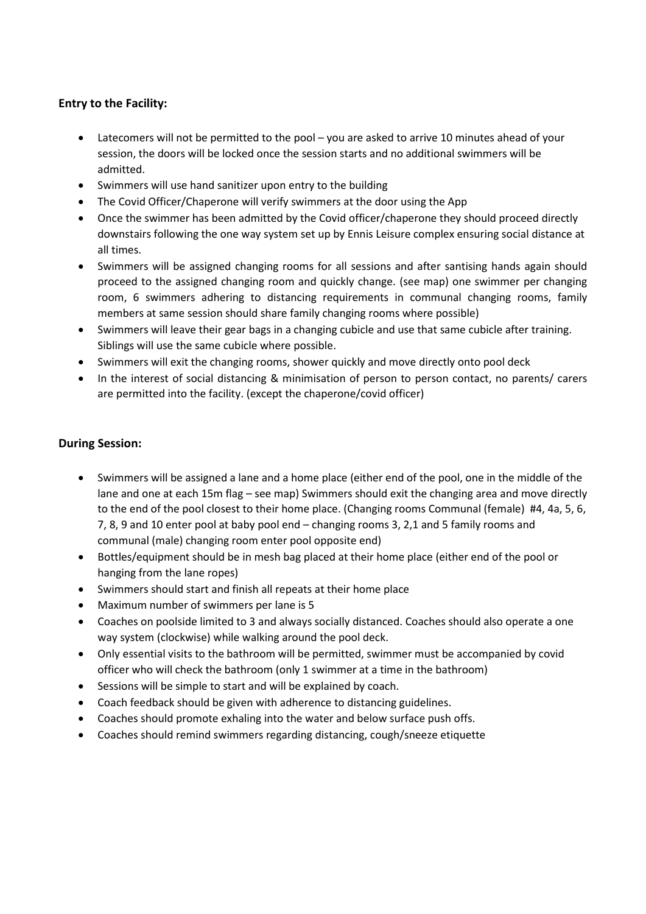#### **Entry to the Facility:**

- Latecomers will not be permitted to the pool you are asked to arrive 10 minutes ahead of your session, the doors will be locked once the session starts and no additional swimmers will be admitted.
- Swimmers will use hand sanitizer upon entry to the building
- The Covid Officer/Chaperone will verify swimmers at the door using the App
- Once the swimmer has been admitted by the Covid officer/chaperone they should proceed directly downstairs following the one way system set up by Ennis Leisure complex ensuring social distance at all times.
- Swimmers will be assigned changing rooms for all sessions and after santising hands again should proceed to the assigned changing room and quickly change. (see map) one swimmer per changing room, 6 swimmers adhering to distancing requirements in communal changing rooms, family members at same session should share family changing rooms where possible)
- Swimmers will leave their gear bags in a changing cubicle and use that same cubicle after training. Siblings will use the same cubicle where possible.
- Swimmers will exit the changing rooms, shower quickly and move directly onto pool deck
- In the interest of social distancing & minimisation of person to person contact, no parents/ carers are permitted into the facility. (except the chaperone/covid officer)

#### **During Session:**

- Swimmers will be assigned a lane and a home place (either end of the pool, one in the middle of the lane and one at each 15m flag – see map) Swimmers should exit the changing area and move directly to the end of the pool closest to their home place. (Changing rooms Communal (female) #4, 4a, 5, 6, 7, 8, 9 and 10 enter pool at baby pool end – changing rooms 3, 2,1 and 5 family rooms and communal (male) changing room enter pool opposite end)
- Bottles/equipment should be in mesh bag placed at their home place (either end of the pool or hanging from the lane ropes)
- Swimmers should start and finish all repeats at their home place
- Maximum number of swimmers per lane is 5
- Coaches on poolside limited to 3 and always socially distanced. Coaches should also operate a one way system (clockwise) while walking around the pool deck.
- Only essential visits to the bathroom will be permitted, swimmer must be accompanied by covid officer who will check the bathroom (only 1 swimmer at a time in the bathroom)
- Sessions will be simple to start and will be explained by coach.
- Coach feedback should be given with adherence to distancing guidelines.
- Coaches should promote exhaling into the water and below surface push offs.
- Coaches should remind swimmers regarding distancing, cough/sneeze etiquette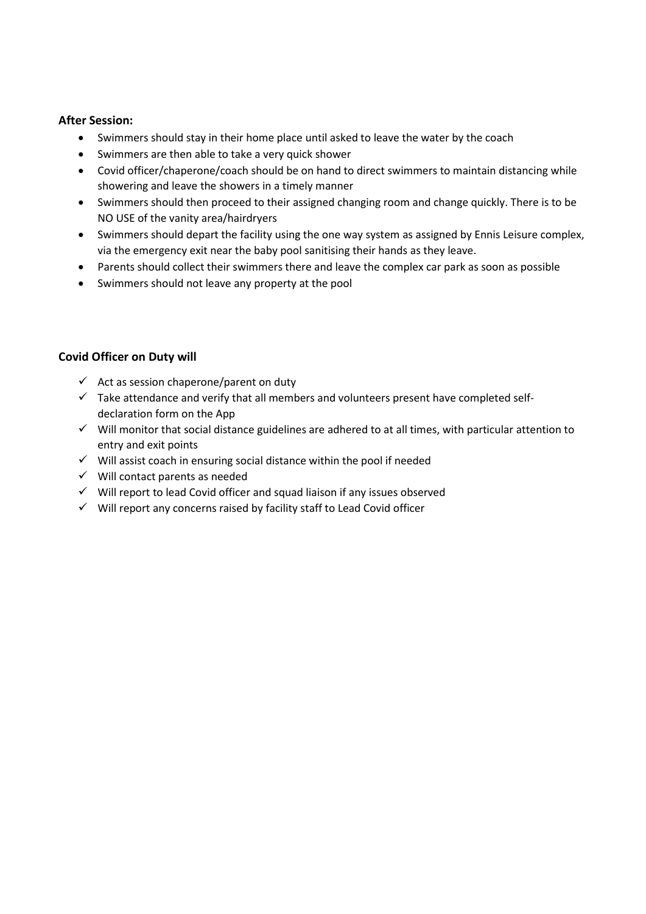#### **After Session:**

- Swimmers should stay in their home place until asked to leave the water by the coach
- Swimmers are then able to take a very quick shower
- Covid officer/chaperone/coach should be on hand to direct swimmers to maintain distancing while showering and leave the showers in a timely manner
- Swimmers should then proceed to their assigned changing room and change quickly. There is to be NO USE of the vanity area/hairdryers
- Swimmers should depart the facility using the one way system as assigned by Ennis Leisure complex, via the emergency exit near the baby pool sanitising their hands as they leave.
- Parents should collect their swimmers there and leave the complex car park as soon as possible
- Swimmers should not leave any property at the pool

#### **Covid Officer on Duty will**

- $\checkmark$  Act as session chaperone/parent on duty
- $\checkmark$  Take attendance and verify that all members and volunteers present have completed selfdeclaration form on the App
- $\checkmark$  Will monitor that social distance guidelines are adhered to at all times, with particular attention to entry and exit points
- $\checkmark$  Will assist coach in ensuring social distance within the pool if needed
- $\checkmark$  Will contact parents as needed
- $\checkmark$  Will report to lead Covid officer and squad liaison if any issues observed
- $\checkmark$  Will report any concerns raised by facility staff to Lead Covid officer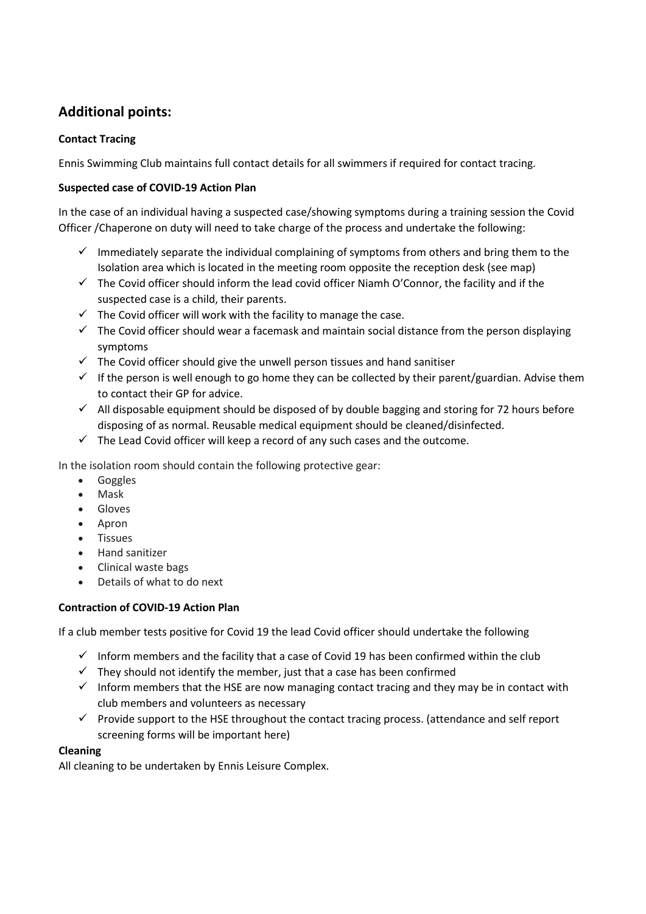### **Additional points:**

#### **Contact Tracing**

Ennis Swimming Club maintains full contact details for all swimmers if required for contact tracing.

#### **Suspected case of COVID-19 Action Plan**

In the case of an individual having a suspected case/showing symptoms during a training session the Covid Officer /Chaperone on duty will need to take charge of the process and undertake the following:

- $\checkmark$  Immediately separate the individual complaining of symptoms from others and bring them to the Isolation area which is located in the meeting room opposite the reception desk (see map)
- $\checkmark$  The Covid officer should inform the lead covid officer Niamh O'Connor, the facility and if the suspected case is a child, their parents.
- $\checkmark$  The Covid officer will work with the facility to manage the case.
- $\checkmark$  The Covid officer should wear a facemask and maintain social distance from the person displaying symptoms
- $\checkmark$  The Covid officer should give the unwell person tissues and hand sanitiser
- $\checkmark$  If the person is well enough to go home they can be collected by their parent/guardian. Advise them to contact their GP for advice.
- $\checkmark$  All disposable equipment should be disposed of by double bagging and storing for 72 hours before disposing of as normal. Reusable medical equipment should be cleaned/disinfected.
- $\checkmark$  The Lead Covid officer will keep a record of any such cases and the outcome.

In the isolation room should contain the following protective gear:

- Goggles
- Mask
- Gloves
- Apron
- Tissues
- Hand sanitizer
- Clinical waste bags
- Details of what to do next

#### **Contraction of COVID-19 Action Plan**

If a club member tests positive for Covid 19 the lead Covid officer should undertake the following

- $\checkmark$  Inform members and the facility that a case of Covid 19 has been confirmed within the club
- $\checkmark$  They should not identify the member, just that a case has been confirmed
- $\checkmark$  Inform members that the HSE are now managing contact tracing and they may be in contact with club members and volunteers as necessary
- $\checkmark$  Provide support to the HSE throughout the contact tracing process. (attendance and self report screening forms will be important here)

#### **Cleaning**

All cleaning to be undertaken by Ennis Leisure Complex.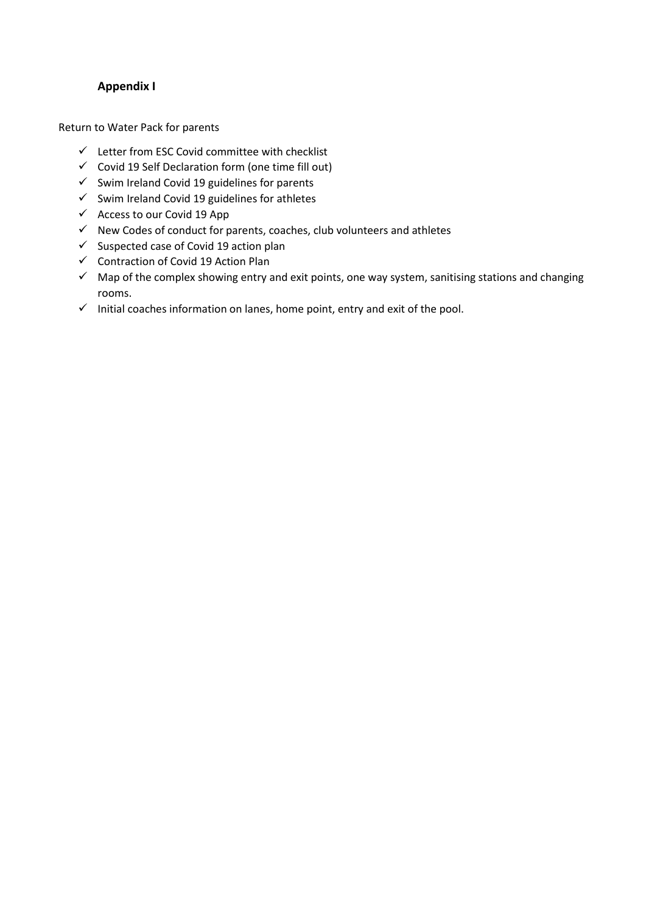#### **Appendix I**

Return to Water Pack for parents

- $\checkmark$  Letter from ESC Covid committee with checklist
- $\checkmark$  Covid 19 Self Declaration form (one time fill out)
- $\checkmark$  Swim Ireland Covid 19 guidelines for parents
- $\checkmark$  Swim Ireland Covid 19 guidelines for athletes
- $\checkmark$  Access to our Covid 19 App
- $\checkmark$  New Codes of conduct for parents, coaches, club volunteers and athletes
- $\checkmark$  Suspected case of Covid 19 action plan
- $\checkmark$  Contraction of Covid 19 Action Plan
- $\checkmark$  Map of the complex showing entry and exit points, one way system, sanitising stations and changing rooms.
- $\checkmark$  Initial coaches information on lanes, home point, entry and exit of the pool.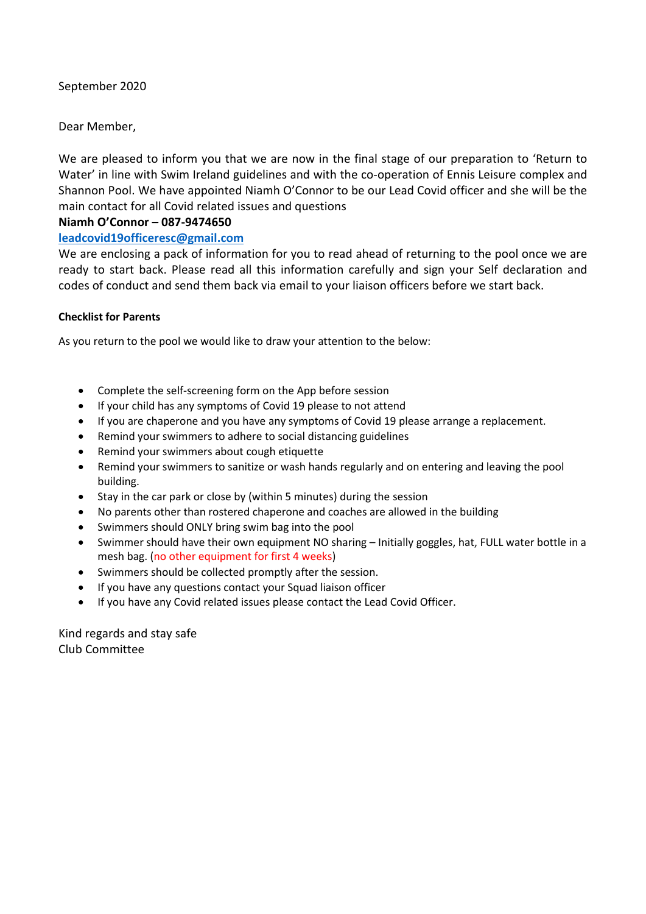September 2020

Dear Member,

We are pleased to inform you that we are now in the final stage of our preparation to 'Return to Water' in line with Swim Ireland guidelines and with the co-operation of Ennis Leisure complex and Shannon Pool. We have appointed Niamh O'Connor to be our Lead Covid officer and she will be the main contact for all Covid related issues and questions

#### **Niamh O'Connor – 087-9474650**

#### **[leadcovid19officeresc@gmail.com](about:blank)**

We are enclosing a pack of information for you to read ahead of returning to the pool once we are ready to start back. Please read all this information carefully and sign your Self declaration and codes of conduct and send them back via email to your liaison officers before we start back.

#### **Checklist for Parents**

As you return to the pool we would like to draw your attention to the below:

- Complete the self-screening form on the App before session
- If your child has any symptoms of Covid 19 please to not attend
- If you are chaperone and you have any symptoms of Covid 19 please arrange a replacement.
- Remind your swimmers to adhere to social distancing guidelines
- Remind your swimmers about cough etiquette
- Remind your swimmers to sanitize or wash hands regularly and on entering and leaving the pool building.
- Stay in the car park or close by (within 5 minutes) during the session
- No parents other than rostered chaperone and coaches are allowed in the building
- Swimmers should ONLY bring swim bag into the pool
- Swimmer should have their own equipment NO sharing Initially goggles, hat, FULL water bottle in a mesh bag. (no other equipment for first 4 weeks)
- Swimmers should be collected promptly after the session.
- If you have any questions contact your Squad liaison officer
- If you have any Covid related issues please contact the Lead Covid Officer.

Kind regards and stay safe Club Committee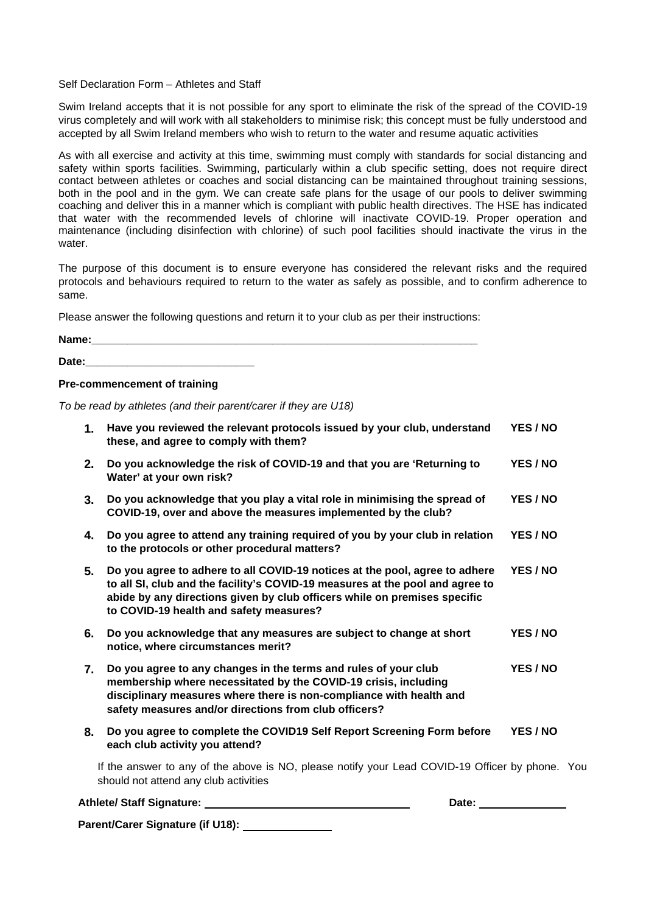Self Declaration Form – Athletes and Staff

Swim Ireland accepts that it is not possible for any sport to eliminate the risk of the spread of the COVID-19 virus completely and will work with all stakeholders to minimise risk; this concept must be fully understood and accepted by all Swim Ireland members who wish to return to the water and resume aquatic activities

As with all exercise and activity at this time, swimming must comply with standards for social distancing and safety within sports facilities. Swimming, particularly within a club specific setting, does not require direct contact between athletes or coaches and social distancing can be maintained throughout training sessions, both in the pool and in the gym. We can create safe plans for the usage of our pools to deliver swimming coaching and deliver this in a manner which is compliant with public health directives. The HSE has indicated that water with the recommended levels of chlorine will inactivate COVID-19. Proper operation and maintenance (including disinfection with chlorine) of such pool facilities should inactivate the virus in the water.

The purpose of this document is to ensure everyone has considered the relevant risks and the required protocols and behaviours required to return to the water as safely as possible, and to confirm adherence to same.

Please answer the following questions and return it to your club as per their instructions:

| Name: |  |  |
|-------|--|--|
|       |  |  |
| Date: |  |  |

#### **Pre-commencement of training**

*To be read by athletes (and their parent/carer if they are U18)*

|    | <b>Athlete/ Staff Signature:</b><br>Date:                                                                                                                                                                                                                                            |          |  |
|----|--------------------------------------------------------------------------------------------------------------------------------------------------------------------------------------------------------------------------------------------------------------------------------------|----------|--|
|    | If the answer to any of the above is NO, please notify your Lead COVID-19 Officer by phone. You<br>should not attend any club activities                                                                                                                                             |          |  |
| 8. | Do you agree to complete the COVID19 Self Report Screening Form before<br>each club activity you attend?                                                                                                                                                                             | YES / NO |  |
| 7. | Do you agree to any changes in the terms and rules of your club<br>membership where necessitated by the COVID-19 crisis, including<br>disciplinary measures where there is non-compliance with health and<br>safety measures and/or directions from club officers?                   | YES / NO |  |
| 6. | Do you acknowledge that any measures are subject to change at short<br>notice, where circumstances merit?                                                                                                                                                                            | YES / NO |  |
| 5. | Do you agree to adhere to all COVID-19 notices at the pool, agree to adhere<br>to all SI, club and the facility's COVID-19 measures at the pool and agree to<br>abide by any directions given by club officers while on premises specific<br>to COVID-19 health and safety measures? | YES / NO |  |
| 4. | Do you agree to attend any training required of you by your club in relation<br>to the protocols or other procedural matters?                                                                                                                                                        | YES / NO |  |
| 3. | Do you acknowledge that you play a vital role in minimising the spread of<br>COVID-19, over and above the measures implemented by the club?                                                                                                                                          | YES / NO |  |
| 2. | Do you acknowledge the risk of COVID-19 and that you are 'Returning to<br>Water' at your own risk?                                                                                                                                                                                   | YES / NO |  |
| 1. | Have you reviewed the relevant protocols issued by your club, understand<br>these, and agree to comply with them?                                                                                                                                                                    | YES / NO |  |

**Parent/Carer Signature (if U18):**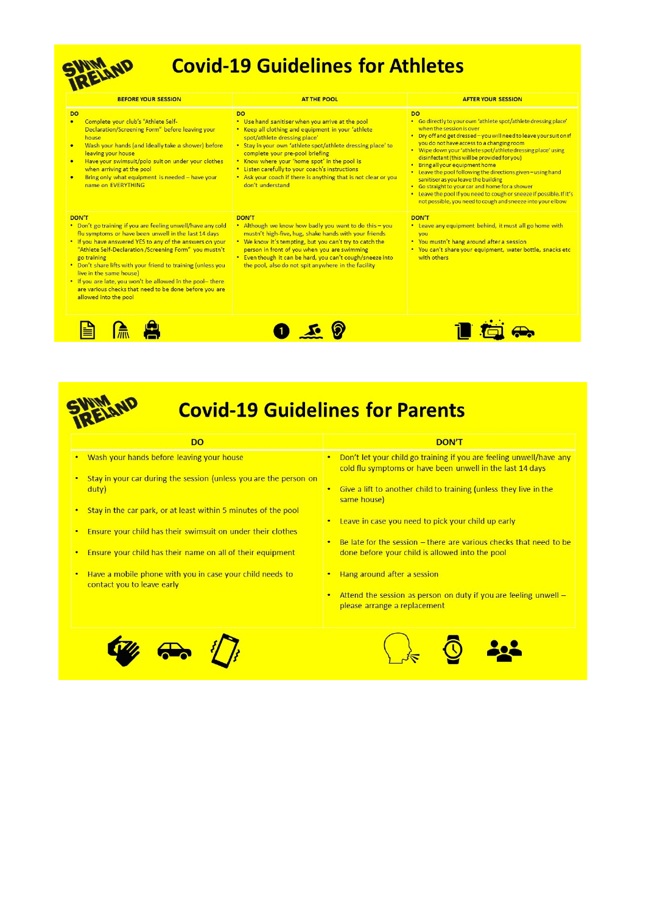

# **Covid-19 Guidelines for Athletes**

| <b>BEFORE YOUR SESSION</b>                                                                                                                                                                                                                                                                                                                                                                                                                                                                                     | <b>AT THE POOL</b>                                                                                                                                                                                                                                                                                                                                                                                                                             | <b>AFTER YOUR SESSION</b>                                                                                                                                                                                                                                                                                                                                                                                                                                                                                                                                                                                                                                                      |
|----------------------------------------------------------------------------------------------------------------------------------------------------------------------------------------------------------------------------------------------------------------------------------------------------------------------------------------------------------------------------------------------------------------------------------------------------------------------------------------------------------------|------------------------------------------------------------------------------------------------------------------------------------------------------------------------------------------------------------------------------------------------------------------------------------------------------------------------------------------------------------------------------------------------------------------------------------------------|--------------------------------------------------------------------------------------------------------------------------------------------------------------------------------------------------------------------------------------------------------------------------------------------------------------------------------------------------------------------------------------------------------------------------------------------------------------------------------------------------------------------------------------------------------------------------------------------------------------------------------------------------------------------------------|
| <b>DO</b><br>Complete your club's "Athlete Self-<br>$\bullet$<br>Declaration/Screening Form" before leaving your<br>house<br>Wash your hands (and ideally take a shower) before<br>$\bullet$<br>leaving your house<br>Have your swimsuit/polo suit on under your clothes<br>$\bullet$<br>when arriving at the pool<br>Bring only what equipment is needed - have your<br>$\bullet$<br>name on EVERYTHING                                                                                                       | <b>DO</b><br>• Use hand sanitiser when you arrive at the pool<br>• Keep all clothing and equipment in your 'athlete<br>spot/athlete dressing place'<br>• Stay in your own 'athlete spot/athlete dressing place' to<br>complete your pre-pool briefing<br>. Know where your 'home spot' in the pool is<br>• Listen carefully to your coach's instructions<br>. Ask your coach if there is anything that is not clear or you<br>don't understand | <b>DO</b><br>• Go directly to your own 'athlete spot/athlete dressing place'<br>when the session is over<br>. Dry off and get dressed - you will need to leave your suit on if<br>you do not have access to a changing room<br>• Wipe down your 'athlete spot/athlete dressing place' using<br>disinfectant (this will be provided for you)<br>• Bring all your equipment home<br>• Leave the pool following the directions given - using hand<br>sanitiser as you leave the building<br>• Go straight to your car and home for a shower<br>• Leave the pool If you need to cough or sneeze if possible. If it's<br>not possible, you need to cough and sneeze into your elbow |
| DON'T<br>• Don't go training if you are feeling unwell/have any cold<br>flu symptoms or have been unwell in the last 14 days<br>. If you have answered YES to any of the answers on your<br>"Athlete Self-Declaration / Screening Form" you mustn't<br>go training<br>• Don't share lifts with your friend to training (unless you<br>live in the same house)<br>• If you are late, you won't be allowed in the pool- there<br>are various checks that need to be done before you are<br>allowed into the pool | DON'T<br>. Although we know how badly you want to do this - you<br>mustn't high-five, hug, shake hands with your friends<br>• We know it's tempting, but you can't try to catch the<br>person in front of you when you are swimming<br>• Even though it can be hard, you can't cough/sneeze into<br>the pool, also do not spit anywhere in the facility                                                                                        | DON'T<br>• Leave any equipment behind, it must all go home with<br>vou<br>. You mustn't hang around after a session<br>. You can't share your equipment, water bottle, snacks etc<br>with others                                                                                                                                                                                                                                                                                                                                                                                                                                                                               |
|                                                                                                                                                                                                                                                                                                                                                                                                                                                                                                                |                                                                                                                                                                                                                                                                                                                                                                                                                                                |                                                                                                                                                                                                                                                                                                                                                                                                                                                                                                                                                                                                                                                                                |



# **Covid-19 Guidelines for Parents**

#### **DO**

- Wash your hands before leaving your house
- Stay in your car during the session (unless you are the person on duty)
- Stay in the car park, or at least within 5 minutes of the pool
- . Ensure your child has their swimsuit on under their clothes
- $\blacksquare$ Ensure your child has their name on all of their equipment
- Have a mobile phone with you in case your child needs to  $\bullet$ contact you to leave early

| DON'T                                                               |
|---------------------------------------------------------------------|
| Don't let your child go training if you are feeling unwell/have any |
| cold flu symptoms or have been unwell in the last 14 days           |

- Give a lift to another child to training (unless they live in the  $\bullet$ same house)
- Leave in case you need to pick your child up early
- Be late for the session there are various checks that need to be ٠. done before your child is allowed into the pool
- Hang around after a session
- Attend the session as person on duty if you are feeling unwell -٠. please arrange a replacement



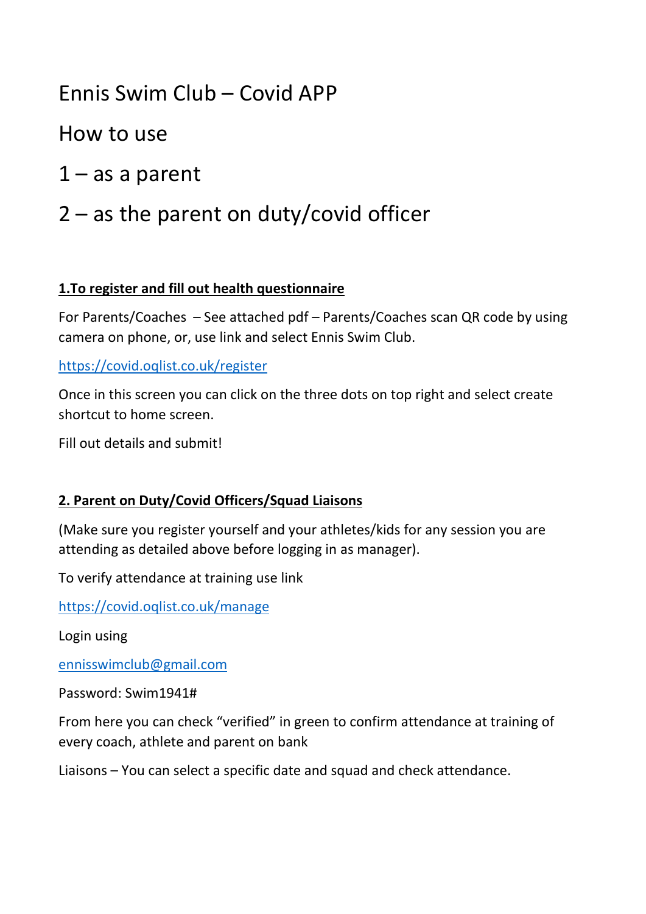# Ennis Swim Club – Covid APP

How to use

 $1 - as a parent$ 

# 2 – as the parent on duty/covid officer

## **1.To register and fill out health questionnaire**

For Parents/Coaches – See attached pdf – Parents/Coaches scan QR code by using camera on phone, or, use link and select Ennis Swim Club.

### [https://covid.oqlist.co.uk/register](about:blank)

Once in this screen you can click on the three dots on top right and select create shortcut to home screen.

Fill out details and submit!

### **2. Parent on Duty/Covid Officers/Squad Liaisons**

(Make sure you register yourself and your athletes/kids for any session you are attending as detailed above before logging in as manager).

To verify attendance at training use link

[https://covid.oqlist.co.uk/manage](about:blank)

Login using

[ennisswimclub@gmail.com](about:blank)

Password: Swim1941#

From here you can check "verified" in green to confirm attendance at training of every coach, athlete and parent on bank

Liaisons – You can select a specific date and squad and check attendance.